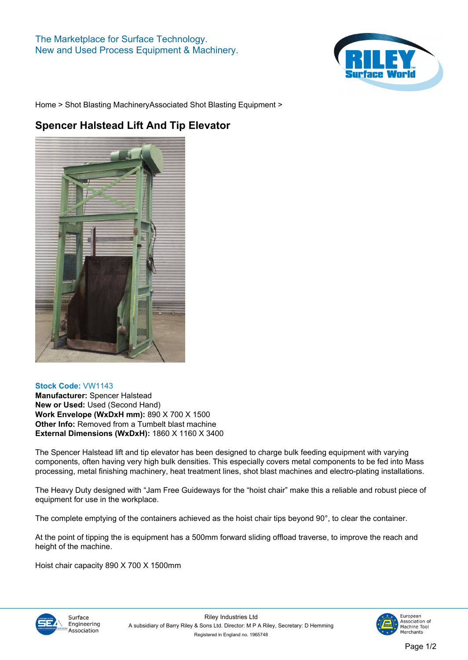

**[Home](https://www.rileysurfaceworld.co.uk) > [Shot Blasting Machinery](https://www.rileysurfaceworld.co.uk/shot-blasting.asp)[Associated Shot Blasting Equipment](https://www.rileysurfaceworld.co.uk/shot-associated.asp) >**

## **Spencer Halstead Lift And Tip Elevator**



## **Stock Code: VW1143**

**Manufacturer: Spencer Halstead New or Used: Used (Second Hand) Work Envelope (WxDxH mm): 890 X 700 X 1500 Other Info: Removed from a Tumbelt blast machine External Dimensions (WxDxH): 1860 X 1160 X 3400**

**The Spencer Halstead lift and tip elevator has been designed to charge bulk feeding equipment with varying components, often having very high bulk densities. This especially covers metal components to be fed into Mass processing, metal finishing machinery, heat treatment lines, shot blast machines and electro-plating installations.**

**The Heavy Duty designed with "Jam Free Guideways for the "hoist chair" make this a reliable and robust piece of equipment for use in the workplace.**

**The complete emptying of the containers achieved as the hoist chair tips beyond 90°, to clear the container.** 

**At the point of tipping the is equipment has a 500mm forward sliding offload traverse, to improve the reach and height of the machine.**

**Hoist chair capacity 890 X 700 X 1500mm**